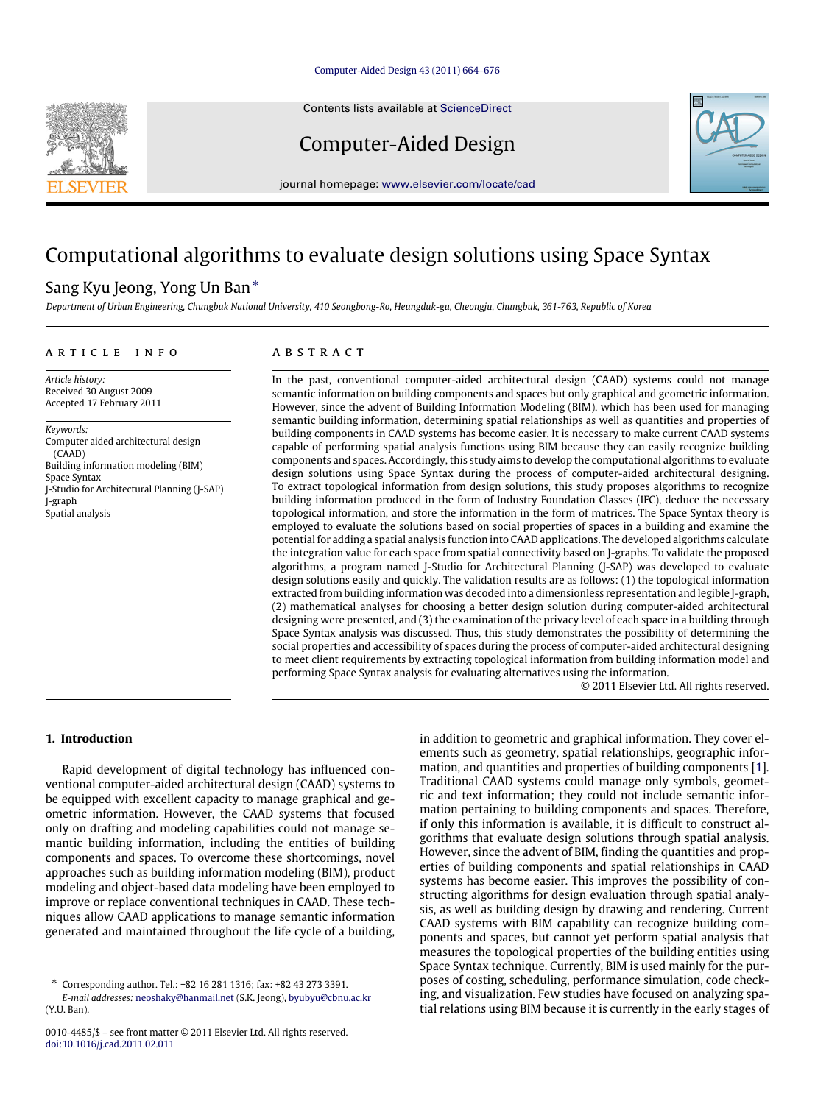Contents lists available at [ScienceDirect](http://www.elsevier.com/locate/cad)

Computer-Aided Design



journal homepage: [www.elsevier.com/locate/cad](http://www.elsevier.com/locate/cad)

# Computational algorithms to evaluate design solutions using Space Syntax

# Sang Kyu Jeong, Yong Un Ban[∗](#page-0-0)

*Department of Urban Engineering, Chungbuk National University, 410 Seongbong-Ro, Heungduk-gu, Cheongju, Chungbuk, 361-763, Republic of Korea*

#### a r t i c l e i n f o

*Article history:* Received 30 August 2009 Accepted 17 February 2011

*Keywords:* Computer aided architectural design (CAAD) Building information modeling (BIM) Space Syntax J-Studio for Architectural Planning (J-SAP) J-graph Spatial analysis

## A B S T R A C T

In the past, conventional computer-aided architectural design (CAAD) systems could not manage semantic information on building components and spaces but only graphical and geometric information. However, since the advent of Building Information Modeling (BIM), which has been used for managing semantic building information, determining spatial relationships as well as quantities and properties of building components in CAAD systems has become easier. It is necessary to make current CAAD systems capable of performing spatial analysis functions using BIM because they can easily recognize building components and spaces. Accordingly, this study aims to develop the computational algorithms to evaluate design solutions using Space Syntax during the process of computer-aided architectural designing. To extract topological information from design solutions, this study proposes algorithms to recognize building information produced in the form of Industry Foundation Classes (IFC), deduce the necessary topological information, and store the information in the form of matrices. The Space Syntax theory is employed to evaluate the solutions based on social properties of spaces in a building and examine the potential for adding a spatial analysis function into CAAD applications. The developed algorithms calculate the integration value for each space from spatial connectivity based on J-graphs. To validate the proposed algorithms, a program named J-Studio for Architectural Planning (J-SAP) was developed to evaluate design solutions easily and quickly. The validation results are as follows: (1) the topological information extracted from building information was decoded into a dimensionless representation and legible J-graph, (2) mathematical analyses for choosing a better design solution during computer-aided architectural designing were presented, and (3) the examination of the privacy level of each space in a building through Space Syntax analysis was discussed. Thus, this study demonstrates the possibility of determining the social properties and accessibility of spaces during the process of computer-aided architectural designing to meet client requirements by extracting topological information from building information model and performing Space Syntax analysis for evaluating alternatives using the information.

© 2011 Elsevier Ltd. All rights reserved.

### **1. Introduction**

Rapid development of digital technology has influenced conventional computer-aided architectural design (CAAD) systems to be equipped with excellent capacity to manage graphical and geometric information. However, the CAAD systems that focused only on drafting and modeling capabilities could not manage semantic building information, including the entities of building components and spaces. To overcome these shortcomings, novel approaches such as building information modeling (BIM), product modeling and object-based data modeling have been employed to improve or replace conventional techniques in CAAD. These techniques allow CAAD applications to manage semantic information generated and maintained throughout the life cycle of a building, in addition to geometric and graphical information. They cover elements such as geometry, spatial relationships, geographic information, and quantities and properties of building components [\[1\]](#page--1-0). Traditional CAAD systems could manage only symbols, geometric and text information; they could not include semantic information pertaining to building components and spaces. Therefore, if only this information is available, it is difficult to construct algorithms that evaluate design solutions through spatial analysis. However, since the advent of BIM, finding the quantities and properties of building components and spatial relationships in CAAD systems has become easier. This improves the possibility of constructing algorithms for design evaluation through spatial analysis, as well as building design by drawing and rendering. Current CAAD systems with BIM capability can recognize building components and spaces, but cannot yet perform spatial analysis that measures the topological properties of the building entities using Space Syntax technique. Currently, BIM is used mainly for the purposes of costing, scheduling, performance simulation, code checking, and visualization. Few studies have focused on analyzing spatial relations using BIM because it is currently in the early stages of



<span id="page-0-0"></span><sup>∗</sup> Corresponding author. Tel.: +82 16 281 1316; fax: +82 43 273 3391. *E-mail addresses:* [neoshaky@hanmail.net](mailto:neoshaky@hanmail.net) (S.K. Jeong), [byubyu@cbnu.ac.kr](mailto:byubyu@cbnu.ac.kr) (Y.U. Ban).

<sup>0010-4485/\$ –</sup> see front matter © 2011 Elsevier Ltd. All rights reserved. [doi:10.1016/j.cad.2011.02.011](http://dx.doi.org/10.1016/j.cad.2011.02.011)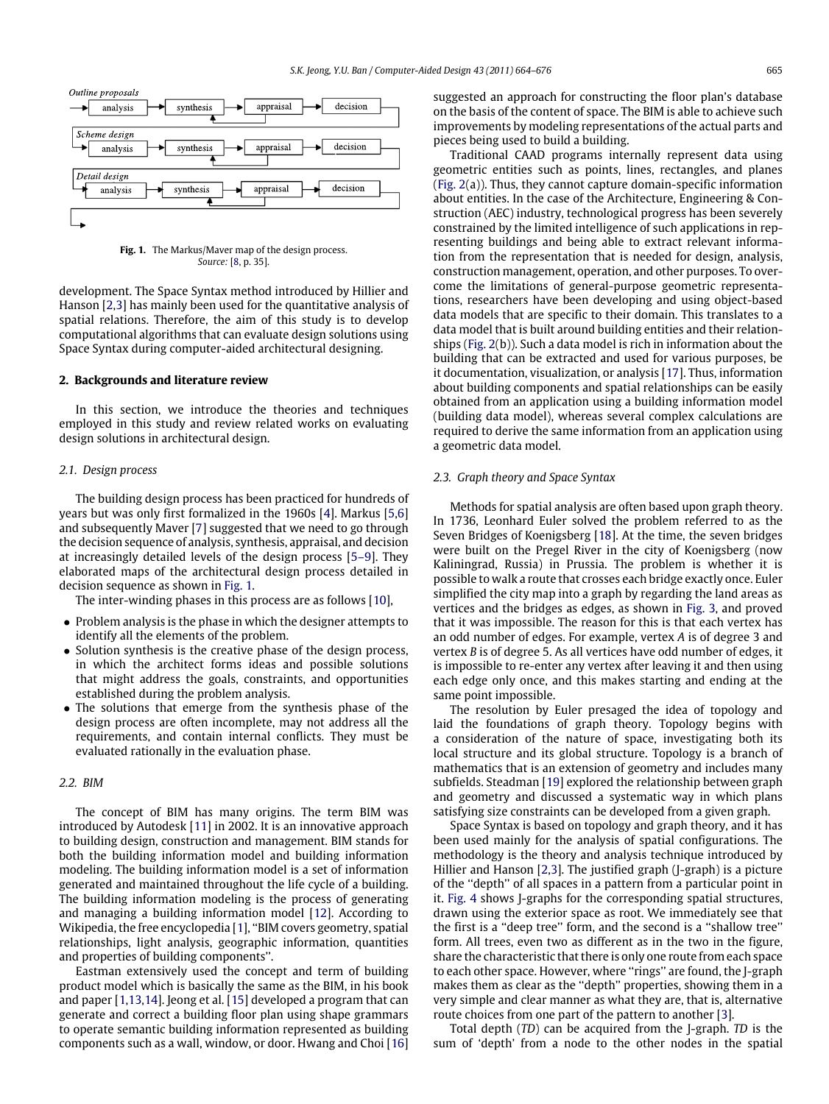<span id="page-1-0"></span>

Fig. 1. The Markus/Maver map of the design process. *Source:* [\[8,](#page--1-1) p. 35].

development. The Space Syntax method introduced by Hillier and Hanson [\[2](#page--1-2)[,3\]](#page--1-3) has mainly been used for the quantitative analysis of spatial relations. Therefore, the aim of this study is to develop computational algorithms that can evaluate design solutions using Space Syntax during computer-aided architectural designing.

### **2. Backgrounds and literature review**

In this section, we introduce the theories and techniques employed in this study and review related works on evaluating design solutions in architectural design.

#### *2.1. Design process*

The building design process has been practiced for hundreds of years but was only first formalized in the 1960s [\[4\]](#page--1-4). Markus [\[5,](#page--1-5)[6\]](#page--1-6) and subsequently Maver [\[7\]](#page--1-7) suggested that we need to go through the decision sequence of analysis, synthesis, appraisal, and decision at increasingly detailed levels of the design process [\[5–9\]](#page--1-5). They elaborated maps of the architectural design process detailed in decision sequence as shown in [Fig. 1.](#page-1-0)

The inter-winding phases in this process are as follows [\[10\]](#page--1-8),

- Problem analysis is the phase in which the designer attempts to identify all the elements of the problem.
- Solution synthesis is the creative phase of the design process, in which the architect forms ideas and possible solutions that might address the goals, constraints, and opportunities established during the problem analysis.
- The solutions that emerge from the synthesis phase of the design process are often incomplete, may not address all the requirements, and contain internal conflicts. They must be evaluated rationally in the evaluation phase.

#### *2.2. BIM*

The concept of BIM has many origins. The term BIM was introduced by Autodesk [\[11\]](#page--1-9) in 2002. It is an innovative approach to building design, construction and management. BIM stands for both the building information model and building information modeling. The building information model is a set of information generated and maintained throughout the life cycle of a building. The building information modeling is the process of generating and managing a building information model [\[12\]](#page--1-10). According to Wikipedia, the free encyclopedia [\[1\]](#page--1-0), ''BIM covers geometry, spatial relationships, light analysis, geographic information, quantities and properties of building components''.

Eastman extensively used the concept and term of building product model which is basically the same as the BIM, in his book and paper [\[1](#page--1-0)[,13,](#page--1-11)[14\]](#page--1-12). Jeong et al. [\[15\]](#page--1-13) developed a program that can generate and correct a building floor plan using shape grammars to operate semantic building information represented as building components such as a wall, window, or door. Hwang and Choi [\[16\]](#page--1-14) suggested an approach for constructing the floor plan's database on the basis of the content of space. The BIM is able to achieve such improvements by modeling representations of the actual parts and pieces being used to build a building.

Traditional CAAD programs internally represent data using geometric entities such as points, lines, rectangles, and planes [\(Fig. 2\(](#page--1-15)a)). Thus, they cannot capture domain-specific information about entities. In the case of the Architecture, Engineering & Construction (AEC) industry, technological progress has been severely constrained by the limited intelligence of such applications in representing buildings and being able to extract relevant information from the representation that is needed for design, analysis, construction management, operation, and other purposes. To overcome the limitations of general-purpose geometric representations, researchers have been developing and using object-based data models that are specific to their domain. This translates to a data model that is built around building entities and their relationships [\(Fig. 2\(](#page--1-15)b)). Such a data model is rich in information about the building that can be extracted and used for various purposes, be it documentation, visualization, or analysis [\[17\]](#page--1-16). Thus, information about building components and spatial relationships can be easily obtained from an application using a building information model (building data model), whereas several complex calculations are required to derive the same information from an application using a geometric data model.

#### *2.3. Graph theory and Space Syntax*

Methods for spatial analysis are often based upon graph theory. In 1736, Leonhard Euler solved the problem referred to as the Seven Bridges of Koenigsberg [\[18\]](#page--1-17). At the time, the seven bridges were built on the Pregel River in the city of Koenigsberg (now Kaliningrad, Russia) in Prussia. The problem is whether it is possible to walk a route that crosses each bridge exactly once. Euler simplified the city map into a graph by regarding the land areas as vertices and the bridges as edges, as shown in [Fig. 3,](#page--1-18) and proved that it was impossible. The reason for this is that each vertex has an odd number of edges. For example, vertex *A* is of degree 3 and vertex *B* is of degree 5. As all vertices have odd number of edges, it is impossible to re-enter any vertex after leaving it and then using each edge only once, and this makes starting and ending at the same point impossible.

The resolution by Euler presaged the idea of topology and laid the foundations of graph theory. Topology begins with a consideration of the nature of space, investigating both its local structure and its global structure. Topology is a branch of mathematics that is an extension of geometry and includes many subfields. Steadman [\[19\]](#page--1-19) explored the relationship between graph and geometry and discussed a systematic way in which plans satisfying size constraints can be developed from a given graph.

Space Syntax is based on topology and graph theory, and it has been used mainly for the analysis of spatial configurations. The methodology is the theory and analysis technique introduced by Hillier and Hanson [\[2,](#page--1-2)[3\]](#page--1-3). The justified graph (J-graph) is a picture of the ''depth'' of all spaces in a pattern from a particular point in it. [Fig. 4](#page--1-20) shows J-graphs for the corresponding spatial structures, drawn using the exterior space as root. We immediately see that the first is a ''deep tree'' form, and the second is a ''shallow tree'' form. All trees, even two as different as in the two in the figure, share the characteristic that there is only one route from each space to each other space. However, where "rings" are found, the J-graph makes them as clear as the ''depth'' properties, showing them in a very simple and clear manner as what they are, that is, alternative route choices from one part of the pattern to another [\[3\]](#page--1-3).

Total depth (*TD*) can be acquired from the J-graph. *TD* is the sum of 'depth' from a node to the other nodes in the spatial